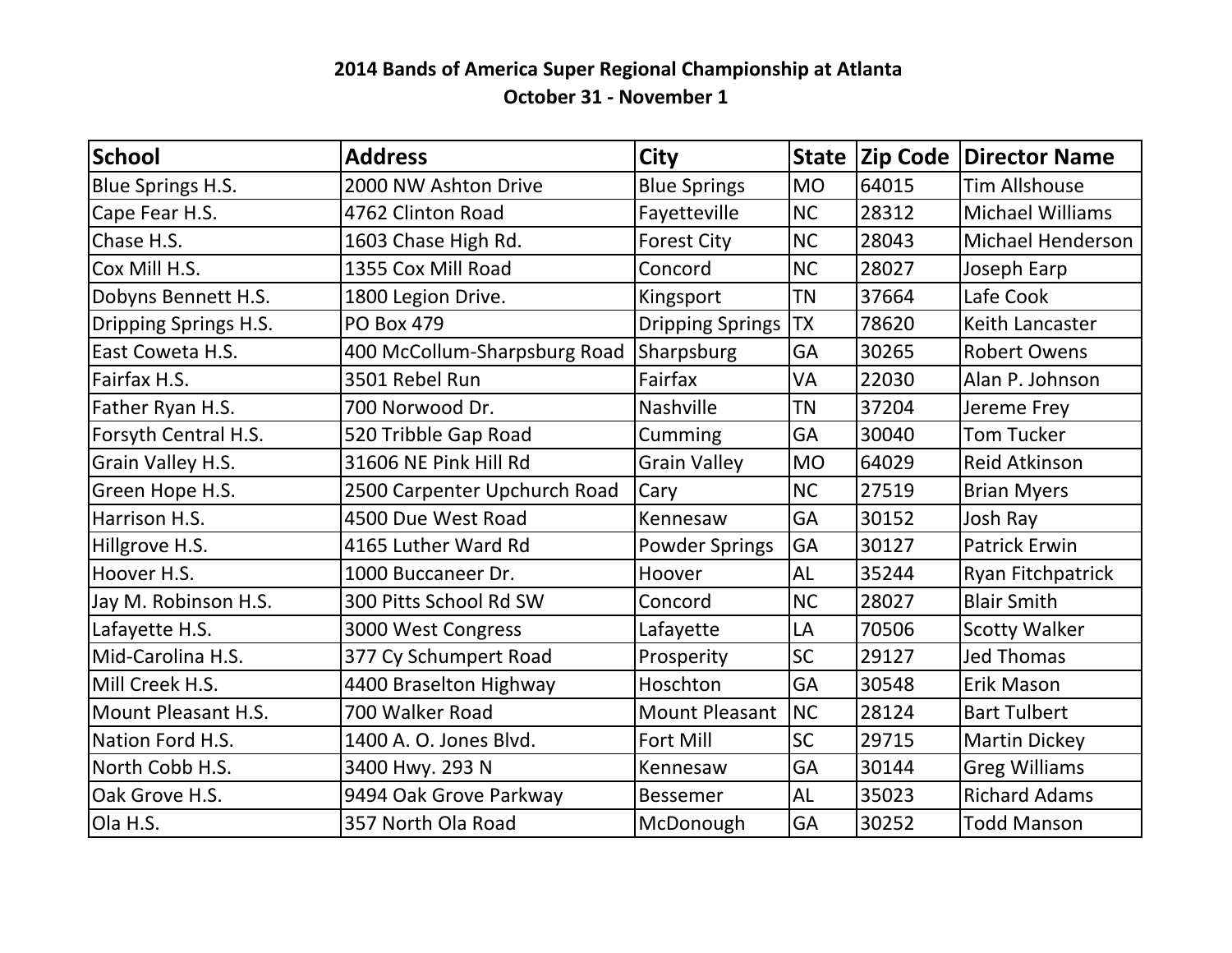## **2014 Bands of America Super Regional Championship at Atlanta October 31 - November 1**

| <b>School</b>         | <b>Address</b>               | <b>City</b>             | State     |       | <b>Zip Code Director Name</b> |
|-----------------------|------------------------------|-------------------------|-----------|-------|-------------------------------|
| Blue Springs H.S.     | 2000 NW Ashton Drive         | <b>Blue Springs</b>     | <b>MO</b> | 64015 | <b>Tim Allshouse</b>          |
| Cape Fear H.S.        | 4762 Clinton Road            | Fayetteville            | <b>NC</b> | 28312 | <b>Michael Williams</b>       |
| Chase H.S.            | 1603 Chase High Rd.          | <b>Forest City</b>      | <b>NC</b> | 28043 | Michael Henderson             |
| Cox Mill H.S.         | 1355 Cox Mill Road           | Concord                 | <b>NC</b> | 28027 | Joseph Earp                   |
| Dobyns Bennett H.S.   | 1800 Legion Drive.           | Kingsport               | <b>TN</b> | 37664 | Lafe Cook                     |
| Dripping Springs H.S. | <b>PO Box 479</b>            | <b>Dripping Springs</b> | <b>TX</b> | 78620 | Keith Lancaster               |
| East Coweta H.S.      | 400 McCollum-Sharpsburg Road | Sharpsburg              | GA        | 30265 | <b>Robert Owens</b>           |
| Fairfax H.S.          | 3501 Rebel Run               | Fairfax                 | VA        | 22030 | Alan P. Johnson               |
| Father Ryan H.S.      | 700 Norwood Dr.              | Nashville               | <b>TN</b> | 37204 | Jereme Frey                   |
| Forsyth Central H.S.  | 520 Tribble Gap Road         | Cumming                 | GA        | 30040 | <b>Tom Tucker</b>             |
| Grain Valley H.S.     | 31606 NE Pink Hill Rd        | <b>Grain Valley</b>     | <b>MO</b> | 64029 | <b>Reid Atkinson</b>          |
| Green Hope H.S.       | 2500 Carpenter Upchurch Road | Cary                    | <b>NC</b> | 27519 | <b>Brian Myers</b>            |
| Harrison H.S.         | 4500 Due West Road           | Kennesaw                | GA        | 30152 | Josh Ray                      |
| Hillgrove H.S.        | 4165 Luther Ward Rd          | <b>Powder Springs</b>   | GA        | 30127 | <b>Patrick Erwin</b>          |
| Hoover H.S.           | 1000 Buccaneer Dr.           | Hoover                  | <b>AL</b> | 35244 | Ryan Fitchpatrick             |
| Jay M. Robinson H.S.  | 300 Pitts School Rd SW       | Concord                 | <b>NC</b> | 28027 | <b>Blair Smith</b>            |
| Lafayette H.S.        | 3000 West Congress           | Lafayette               | LA        | 70506 | <b>Scotty Walker</b>          |
| Mid-Carolina H.S.     | 377 Cy Schumpert Road        | Prosperity              | <b>SC</b> | 29127 | <b>Jed Thomas</b>             |
| Mill Creek H.S.       | 4400 Braselton Highway       | Hoschton                | GA        | 30548 | Erik Mason                    |
| Mount Pleasant H.S.   | 700 Walker Road              | <b>Mount Pleasant</b>   | NC        | 28124 | <b>Bart Tulbert</b>           |
| Nation Ford H.S.      | 1400 A. O. Jones Blvd.       | <b>Fort Mill</b>        | <b>SC</b> | 29715 | <b>Martin Dickey</b>          |
| North Cobb H.S.       | 3400 Hwy. 293 N              | Kennesaw                | GA        | 30144 | <b>Greg Williams</b>          |
| Oak Grove H.S.        | 9494 Oak Grove Parkway       | <b>Bessemer</b>         | <b>AL</b> | 35023 | <b>Richard Adams</b>          |
| Ola H.S.              | 357 North Ola Road           | McDonough               | GA        | 30252 | <b>Todd Manson</b>            |